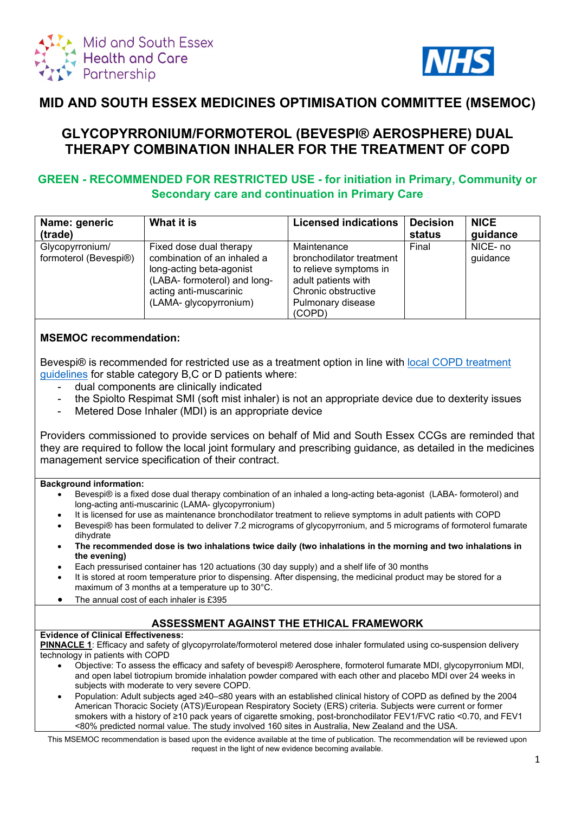



# **MID AND SOUTH ESSEX MEDICINES OPTIMISATION COMMITTEE (MSEMOC)**

# **GLYCOPYRRONIUM/FORMOTEROL (BEVESPI® AEROSPHERE) DUAL THERAPY COMBINATION INHALER FOR THE TREATMENT OF COPD**

## **GREEN - RECOMMENDED FOR RESTRICTED USE - for initiation in Primary, Community or Secondary care and continuation in Primary Care**

| Name: generic         | What it is                   | <b>Licensed indications</b> | <b>Decision</b> | <b>NICE</b> |
|-----------------------|------------------------------|-----------------------------|-----------------|-------------|
| (trade)               |                              |                             | status          | guidance    |
| Glycopyrronium/       | Fixed dose dual therapy      | Maintenance                 | Final           | NICE-no     |
| formoterol (Bevespi®) | combination of an inhaled a  | bronchodilator treatment    |                 | guidance    |
|                       | long-acting beta-agonist     | to relieve symptoms in      |                 |             |
|                       | (LABA- formoterol) and long- | adult patients with         |                 |             |
|                       | acting anti-muscarinic       | Chronic obstructive         |                 |             |
|                       | (LAMA- glycopyrronium)       | Pulmonary disease           |                 |             |
|                       |                              | (COPD)                      |                 |             |

## **MSEMOC recommendation:**

Bevespi® is recommended for restricted use as a treatment option in line with local COPD treatment [guidelines](https://coronavirus.msehealthandcarepartnership.co.uk/respiratory-system/) for stable category B,C or D patients where:

- dual components are clinically indicated
- the Spiolto Respimat SMI (soft mist inhaler) is not an appropriate device due to dexterity issues
- Metered Dose Inhaler (MDI) is an appropriate device

Providers commissioned to provide services on behalf of Mid and South Essex CCGs are reminded that they are required to follow the local joint formulary and prescribing guidance, as detailed in the medicines management service specification of their contract.

#### **Background information:**

- Bevespi® is a fixed dose dual therapy combination of an inhaled a long-acting beta-agonist (LABA- formoterol) and long-acting anti-muscarinic (LAMA- glycopyrronium)
- It is licensed for use as maintenance bronchodilator treatment to relieve symptoms in adult patients with COPD
- Bevespi® has been formulated to deliver 7.2 micrograms of glycopyrronium, and 5 micrograms of formoterol fumarate dihydrate
- **The recommended dose is two inhalations twice daily (two inhalations in the morning and two inhalations in the evening)**
- Each pressurised container has 120 actuations (30 day supply) and a shelf life of 30 months
- It is stored at room temperature prior to dispensing. After dispensing, the medicinal product may be stored for a maximum of 3 months at a temperature up to 30°C.
- The annual cost of each inhaler is £395

## **ASSESSMENT AGAINST THE ETHICAL FRAMEWORK**

#### **Evidence of Clinical Effectiveness:**

**PINNACLE 1**: Efficacy and safety of glycopyrrolate/formoterol metered dose inhaler formulated using co-suspension delivery technology in patients with COPD

- Objective: To assess the efficacy and safety of bevespi® Aerosphere, formoterol fumarate MDI, glycopyrronium MDI, and open label tiotropium bromide inhalation powder compared with each other and placebo MDI over 24 weeks in subjects with moderate to very severe COPD.
- Population: Adult subjects aged ≥40–≤80 years with an established clinical history of COPD as defined by the 2004 American Thoracic Society (ATS)/European Respiratory Society (ERS) criteria. Subjects were current or former smokers with a history of ≥10 pack years of cigarette smoking, post-bronchodilator FEV1/FVC ratio <0.70, and FEV1 <80% predicted normal value. The study involved 160 sites in Australia, New Zealand and the USA.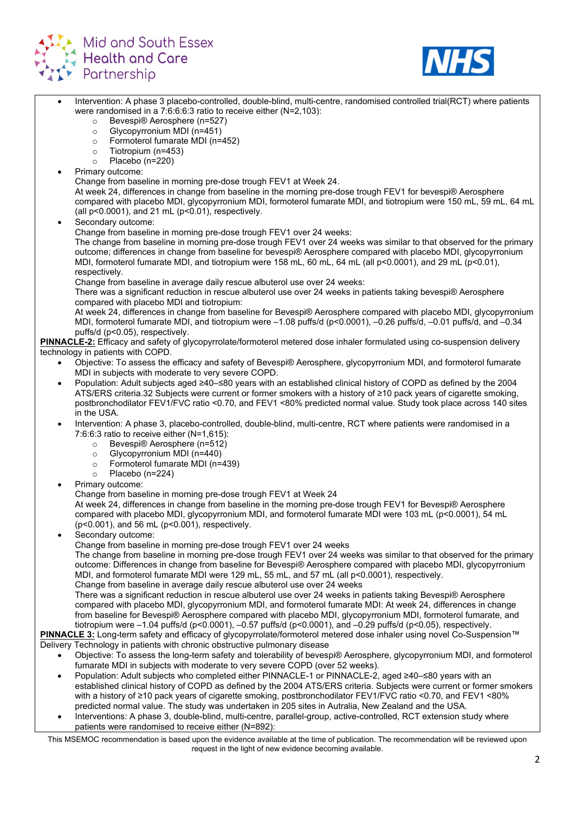



- Intervention: A phase 3 placebo-controlled, double-blind, multi-centre, randomised controlled trial(RCT) where patients were randomised in a 7:6:6:6:3 ratio to receive either (N=2,103): o Bevespi® Aerosphere (n=527)<br>○ Glycopyrronium MDI (n=451) o Glycopyrronium MDI (n=451)<br>
⊙ Formoterol fumarate MDI (n=  $\circ$  Formoterol fumarate MDI (n=452)<br>  $\circ$  Tiotropium (n=453) Tiotropium (n=453)
	- o Placebo (n=220)
	- Primary outcome:

Change from baseline in morning pre-dose trough FEV1 at Week 24.

At week 24, differences in change from baseline in the morning pre-dose trough FEV1 for bevespi® Aerosphere compared with placebo MDI, glycopyrronium MDI, formoterol fumarate MDI, and tiotropium were 150 mL, 59 mL, 64 mL (all p<0.0001), and 21 mL (p<0.01), respectively.

Secondary outcome:

Change from baseline in morning pre-dose trough FEV1 over 24 weeks:

The change from baseline in morning pre-dose trough FEV1 over 24 weeks was similar to that observed for the primary outcome; differences in change from baseline for bevespi® Aerosphere compared with placebo MDI, glycopyrronium MDI, formoterol fumarate MDI, and tiotropium were 158 mL, 60 mL, 64 mL (all p<0.0001), and 29 mL (p<0.01), respectively.

Change from baseline in average daily rescue albuterol use over 24 weeks:

There was a significant reduction in rescue albuterol use over 24 weeks in patients taking bevespi® Aerosphere compared with placebo MDI and tiotropium:

At week 24, differences in change from baseline for Bevespi® Aerosphere compared with placebo MDI, glycopyrronium MDI, formoterol fumarate MDI, and tiotropium were –1.08 puffs/d (p<0.0001), –0.26 puffs/d, –0.01 puffs/d, and –0.34 puffs/d (p<0.05), respectively.

**PINNACLE-2:** Efficacy and safety of glycopyrrolate/formoterol metered dose inhaler formulated using co-suspension delivery technology in patients with COPD.

- Objective: To assess the efficacy and safety of Bevespi® Aerosphere, glycopyrronium MDI, and formoterol fumarate MDI in subjects with moderate to very severe COPD.
- Population: Adult subjects aged ≥40–≤80 years with an established clinical history of COPD as defined by the 2004 ATS/ERS criteria.32 Subjects were current or former smokers with a history of ≥10 pack years of cigarette smoking, postbronchodilator FEV1/FVC ratio <0.70, and FEV1 <80% predicted normal value. Study took place across 140 sites in the USA.
- Intervention: A phase 3, placebo-controlled, double-blind, multi-centre, RCT where patients were randomised in a 7:6:6:3 ratio to receive either (N=1,615):
	-
	- o Bevespi® Aerosphere (n=512)<br>○ Glycopyrronium MDI (n=440) Glycopyrronium MDI (n=440)
	- o Formoterol fumarate MDI ( $n=439$ )<br>  $\circ$  Placebo ( $n=224$ )
	- Placebo (n=224)
- Primary outcome:

Change from baseline in morning pre-dose trough FEV1 at Week 24

At week 24, differences in change from baseline in the morning pre-dose trough FEV1 for Bevespi® Aerosphere compared with placebo MDI, glycopyrronium MDI, and formoterol fumarate MDI were 103 mL (p<0.0001), 54 mL (p<0.001), and 56 mL (p<0.001), respectively.

Secondary outcome:

Change from baseline in morning pre-dose trough FEV1 over 24 weeks

The change from baseline in morning pre-dose trough FEV1 over 24 weeks was similar to that observed for the primary outcome: Differences in change from baseline for Bevespi® Aerosphere compared with placebo MDI, glycopyrronium MDI, and formoterol fumarate MDI were 129 mL, 55 mL, and 57 mL (all p<0.0001), respectively.

Change from baseline in average daily rescue albuterol use over 24 weeks

There was a significant reduction in rescue albuterol use over 24 weeks in patients taking Bevespi® Aerosphere compared with placebo MDI, glycopyrronium MDI, and formoterol fumarate MDI: At week 24, differences in change from baseline for Bevespi® Aerosphere compared with placebo MDI, glycopyrronium MDI, formoterol fumarate, and tiotropium were –1.04 puffs/d (p<0.0001), –0.57 puffs/d (p<0.0001), and –0.29 puffs/d (p<0.05), respectively.

**PINNACLE 3:** Long-term safety and efficacy of glycopyrrolate/formoterol metered dose inhaler using novel Co-Suspension™ Delivery Technology in patients with chronic obstructive pulmonary disease

- Objective: To assess the long-term safety and tolerability of bevespi® Aerosphere, glycopyrronium MDI, and formoterol fumarate MDI in subjects with moderate to very severe COPD (over 52 weeks).
- Population: Adult subjects who completed either PINNACLE-1 or PINNACLE-2, aged ≥40–≤80 years with an established clinical history of COPD as defined by the 2004 ATS/ERS criteria. Subjects were current or former smokers with a history of ≥10 pack years of cigarette smoking, postbronchodilator FEV1/FVC ratio <0.70, and FEV1 <80% predicted normal value. The study was undertaken in 205 sites in Autralia, New Zealand and the USA.
- Interventions: A phase 3, double-blind, multi-centre, parallel-group, active-controlled, RCT extension study where patients were randomised to receive either (N=892):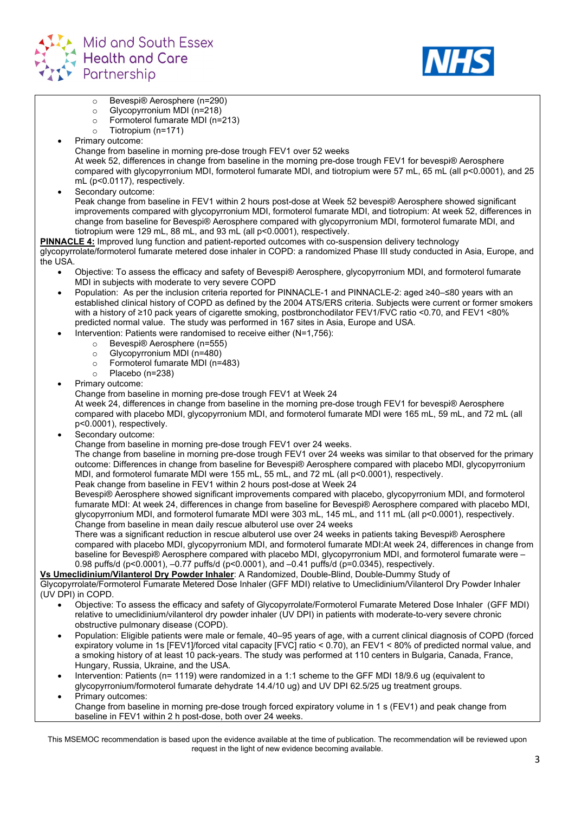



- o Bevespi® Aerosphere (n=290)<br>
⊙ Glycopyrronium MDI (n=218)
- Glycopyrronium MDI (n=218)
- Formoterol fumarate MDI (n=213)<br>○ Tiotropium (n=171)
- Tiotropium (n=171)
- Primary outcome:
	- Change from baseline in morning pre-dose trough FEV1 over 52 weeks

At week 52, differences in change from baseline in the morning pre-dose trough FEV1 for bevespi® Aerosphere compared with glycopyrronium MDI, formoterol fumarate MDI, and tiotropium were 57 mL, 65 mL (all p<0.0001), and 25 mL (p<0.0117), respectively.

Secondary outcome:

Peak change from baseline in FEV1 within 2 hours post-dose at Week 52 bevespi® Aerosphere showed significant improvements compared with glycopyrronium MDI, formoterol fumarate MDI, and tiotropium: At week 52, differences in change from baseline for Bevespi® Aerosphere compared with glycopyrronium MDI, formoterol fumarate MDI, and tiotropium were 129 mL, 88 mL, and 93 mL (all p<0.0001), respectively.

**PINNACLE 4:** Improved lung function and patient-reported outcomes with co-suspension delivery technology glycopyrrolate/formoterol fumarate metered dose inhaler in COPD: a randomized Phase III study conducted in Asia, Europe, and the USA.

- Objective: To assess the efficacy and safety of Bevespi® Aerosphere, glycopyrronium MDI, and formoterol fumarate MDI in subjects with moderate to very severe COPD
- Population: As per the inclusion criteria reported for PINNACLE-1 and PINNACLE-2: aged ≥40–≤80 years with an established clinical history of COPD as defined by the 2004 ATS/ERS criteria. Subjects were current or former smokers with a history of ≥10 pack years of cigarette smoking, postbronchodilator FEV1/FVC ratio <0.70, and FEV1 <80% predicted normal value. The study was performed in 167 sites in Asia, Europe and USA.
- Intervention: Patients were randomised to receive either (N=1,756):
	- o Bevespi® Aerosphere (n=555)<br>
	⊙ Glycopyrronium MDI (n=480)
	- o Glycopyrronium MDI (n=480)<br>○ Formoterol fumarate MDI (n=
	- o Formoterol fumarate MDI (n=483)<br>○ Placebo (n=238)
	- Placebo (n=238)
- Primary outcome:

Change from baseline in morning pre-dose trough FEV1 at Week 24 At week 24, differences in change from baseline in the morning pre-dose trough FEV1 for bevespi® Aerosphere compared with placebo MDI, glycopyrronium MDI, and formoterol fumarate MDI were 165 mL, 59 mL, and 72 mL (all p<0.0001), respectively.

- Secondary outcome:
	- Change from baseline in morning pre-dose trough FEV1 over 24 weeks.

The change from baseline in morning pre-dose trough FEV1 over 24 weeks was similar to that observed for the primary outcome: Differences in change from baseline for Bevespi® Aerosphere compared with placebo MDI, glycopyrronium MDI, and formoterol fumarate MDI were 155 mL, 55 mL, and 72 mL (all p<0.0001), respectively. Peak change from baseline in FEV1 within 2 hours post-dose at Week 24

Bevespi® Aerosphere showed significant improvements compared with placebo, glycopyrronium MDI, and formoterol fumarate MDI: At week 24, differences in change from baseline for Bevespi® Aerosphere compared with placebo MDI, glycopyrronium MDI, and formoterol fumarate MDI were 303 mL, 145 mL, and 111 mL (all p<0.0001), respectively. Change from baseline in mean daily rescue albuterol use over 24 weeks

There was a significant reduction in rescue albuterol use over 24 weeks in patients taking Bevespi® Aerosphere compared with placebo MDI, glycopyrronium MDI, and formoterol fumarate MDI:At week 24, differences in change from baseline for Bevespi® Aerosphere compared with placebo MDI, glycopyrronium MDI, and formoterol fumarate were – 0.98 puffs/d (p<0.0001), –0.77 puffs/d (p<0.0001), and –0.41 puffs/d (p=0.0345), respectively.

**Vs Umeclidinium/Vilanterol Dry Powder Inhaler**: A Randomized, Double-Blind, Double-Dummy Study of Glycopyrrolate/Formoterol Fumarate Metered Dose Inhaler (GFF MDI) relative to Umeclidinium/Vilanterol Dry Powder Inhaler

- (UV DPI) in COPD.
	- Objective: To assess the efficacy and safety of Glycopyrrolate/Formoterol Fumarate Metered Dose Inhaler (GFF MDI) relative to umeclidinium/vilanterol dry powder inhaler (UV DPI) in patients with moderate-to-very severe chronic obstructive pulmonary disease (COPD).
	- Population: Eligible patients were male or female, 40–95 years of age, with a current clinical diagnosis of COPD (forced expiratory volume in 1s [FEV1]/forced vital capacity [FVC] ratio < 0.70), an FEV1 < 80% of predicted normal value, and a smoking history of at least 10 pack-years. The study was performed at 110 centers in Bulgaria, Canada, France, Hungary, Russia, Ukraine, and the USA.
	- Intervention: Patients (n= 1119) were randomized in a 1:1 scheme to the GFF MDI 18/9.6 ug (equivalent to glycopyrronium/formoterol fumarate dehydrate 14.4/10 ug) and UV DPI 62.5/25 ug treatment groups.
	- Primary outcomes: Change from baseline in morning pre-dose trough forced expiratory volume in 1 s (FEV1) and peak change from baseline in FEV1 within 2 h post-dose, both over 24 weeks.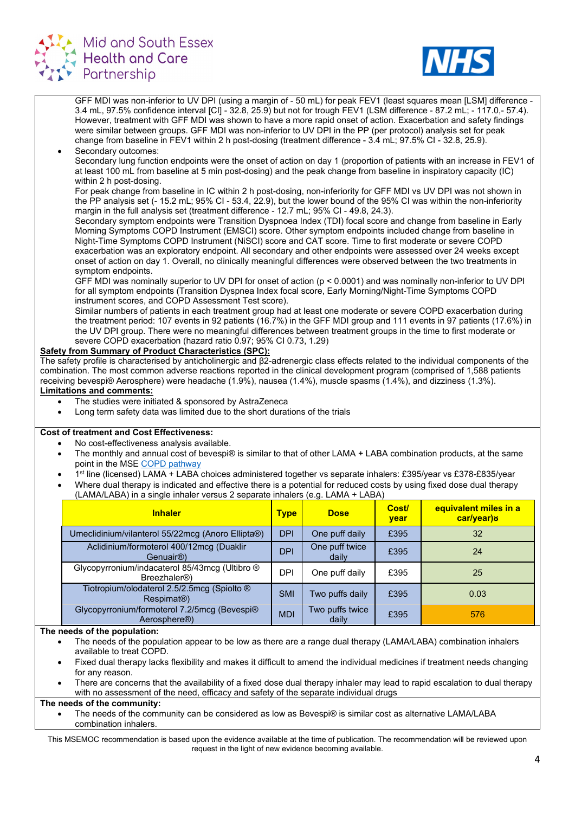



GFF MDI was non-inferior to UV DPI (using a margin of - 50 mL) for peak FEV1 (least squares mean [LSM] difference - 3.4 mL, 97.5% confidence interval [CI] - 32.8, 25.9) but not for trough FEV1 (LSM difference - 87.2 mL; - 117.0,- 57.4). However, treatment with GFF MDI was shown to have a more rapid onset of action. Exacerbation and safety findings were similar between groups. GFF MDI was non-inferior to UV DPI in the PP (per protocol) analysis set for peak change from baseline in FEV1 within 2 h post-dosing (treatment difference - 3.4 mL; 97.5% CI - 32.8, 25.9).

#### Secondary outcomes:

Secondary lung function endpoints were the onset of action on day 1 (proportion of patients with an increase in FEV1 of at least 100 mL from baseline at 5 min post-dosing) and the peak change from baseline in inspiratory capacity (IC) within 2 h post-dosing.

For peak change from baseline in IC within 2 h post-dosing, non-inferiority for GFF MDI vs UV DPI was not shown in the PP analysis set (- 15.2 mL; 95% CI - 53.4, 22.9), but the lower bound of the 95% CI was within the non-inferiority margin in the full analysis set (treatment difference - 12.7 mL; 95% CI - 49.8, 24.3).

Secondary symptom endpoints were Transition Dyspnoea Index (TDI) focal score and change from baseline in Early Morning Symptoms COPD Instrument (EMSCI) score. Other symptom endpoints included change from baseline in Night-Time Symptoms COPD Instrument (NiSCI) score and CAT score. Time to first moderate or severe COPD exacerbation was an exploratory endpoint. All secondary and other endpoints were assessed over 24 weeks except onset of action on day 1. Overall, no clinically meaningful differences were observed between the two treatments in symptom endpoints.

GFF MDI was nominally superior to UV DPI for onset of action (p < 0.0001) and was nominally non-inferior to UV DPI for all symptom endpoints (Transition Dyspnea Index focal score, Early Morning/Night-Time Symptoms COPD instrument scores, and COPD Assessment Test score).

Similar numbers of patients in each treatment group had at least one moderate or severe COPD exacerbation during the treatment period: 107 events in 92 patients (16.7%) in the GFF MDI group and 111 events in 97 patients (17.6%) in the UV DPI group. There were no meaningful differences between treatment groups in the time to first moderate or severe COPD exacerbation (hazard ratio 0.97; 95% CI 0.73, 1.29)

#### **Safety from Summary of Product Characteristics (SPC):**

The safety profile is characterised by anticholinergic and β2-adrenergic class effects related to the individual components of the combination. The most common adverse reactions reported in the clinical development program (comprised of 1,588 patients receiving bevespi® Aerosphere) were headache (1.9%), nausea (1.4%), muscle spasms (1.4%), and dizziness (1.3%). **Limitations and comments:**

- The studies were initiated & sponsored by AstraZeneca
- Long term safety data was limited due to the short durations of the trials

#### **Cost of treatment and Cost Effectiveness:**

- No cost-effectiveness analysis available.
- The monthly and annual cost of bevespi® is similar to that of other LAMA + LABA combination products, at the same point in the MSE [COPD pathway](https://coronavirus.msehealthandcarepartnership.co.uk/respiratory-system/)
- 1st line (licensed) LAMA + LABA choices administered together vs separate inhalers: £395/year vs £378-£835/year
- Where dual therapy is indicated and effective there is a potential for reduced costs by using fixed dose dual therapy (LAMA/LABA) in a single inhaler versus 2 separate inhalers (e.g. LAMA + LABA)

| <b>Inhaler</b>                                                              | <b>Type</b> | <b>Dose</b>              | Cost/<br>year | equivalent miles in a<br>car/year)8 |
|-----------------------------------------------------------------------------|-------------|--------------------------|---------------|-------------------------------------|
| Umeclidinium/vilanterol 55/22mcg (Anoro Ellipta®)                           | <b>DPI</b>  | One puff daily           | £395          | 32                                  |
| Aclidinium/formoterol 400/12mcg (Duaklir<br>Genuair <sup>®</sup> )          | <b>DPI</b>  | One puff twice<br>daily  | £395          | 24                                  |
| Glycopyrronium/indacaterol 85/43mcg (Ultibro ®<br>Breezhaler <sup>®</sup> ) | DPI         | One puff daily           | £395          | 25                                  |
| Tiotropium/olodaterol 2.5/2.5mcg (Spiolto ®<br>Respimat <sup>®</sup> )      | <b>SMI</b>  | Two puffs daily          | £395          | 0.03                                |
| Glycopyrronium/formoterol 7.2/5mcg (Bevespi®<br>Aerosphere <sup>®</sup>     | <b>MDI</b>  | Two puffs twice<br>daily | £395          | 576                                 |

### **The needs of the population:**

- The needs of the population appear to be low as there are a range dual therapy (LAMA/LABA) combination inhalers available to treat COPD.
- Fixed dual therapy lacks flexibility and makes it difficult to amend the individual medicines if treatment needs changing for any reason.
- There are concerns that the availability of a fixed dose dual therapy inhaler may lead to rapid escalation to dual therapy with no assessment of the need, efficacy and safety of the separate individual drugs

### **The needs of the community:**

The needs of the community can be considered as low as Bevespi® is similar cost as alternative LAMA/LABA combination inhalers.